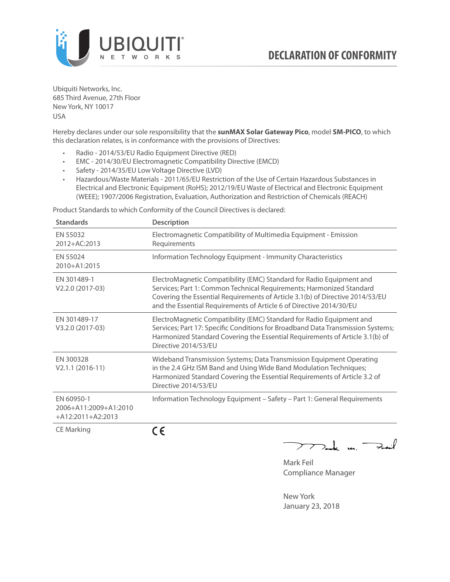

Ubiquiti Networks, Inc. 685 Third Avenue, 27th Floor New York, NY 10017 USA

Hereby declares under our sole responsibility that the **sunMAX Solar Gateway Pico**, model **SM-PICO**, to which this declaration relates, is in conformance with the provisions of Directives:

- Radio 2014/53/EU Radio Equipment Directive (RED)
- EMC 2014/30/EU Electromagnetic Compatibility Directive (EMCD)
- Safety 2014/35/EU Low Voltage Directive (LVD)
- Hazardous/Waste Materials 2011/65/EU Restriction of the Use of Certain Hazardous Substances in Electrical and Electronic Equipment (RoHS); 2012/19/EU Waste of Electrical and Electronic Equipment (WEEE); 1907/2006 Registration, Evaluation, Authorization and Restriction of Chemicals (REACH)

Product Standards to which Conformity of the Council Directives is declared:

| <b>Standards</b>                                           | <b>Description</b>                                                                                                                                                                                                                                                                                   |
|------------------------------------------------------------|------------------------------------------------------------------------------------------------------------------------------------------------------------------------------------------------------------------------------------------------------------------------------------------------------|
| EN 55032<br>2012+AC:2013                                   | Electromagnetic Compatibility of Multimedia Equipment - Emission<br>Requirements                                                                                                                                                                                                                     |
| EN 55024<br>2010+A1:2015                                   | Information Technology Equipment - Immunity Characteristics                                                                                                                                                                                                                                          |
| EN 301489-1<br>V2.2.0 (2017-03)                            | ElectroMagnetic Compatibility (EMC) Standard for Radio Equipment and<br>Services; Part 1: Common Technical Requirements; Harmonized Standard<br>Covering the Essential Requirements of Article 3.1(b) of Directive 2014/53/EU<br>and the Essential Requirements of Article 6 of Directive 2014/30/EU |
| EN 301489-17<br>V3.2.0 (2017-03)                           | ElectroMagnetic Compatibility (EMC) Standard for Radio Equipment and<br>Services; Part 17: Specific Conditions for Broadband Data Transmission Systems;<br>Harmonized Standard Covering the Essential Requirements of Article 3.1(b) of<br>Directive 2014/53/EU                                      |
| EN 300328<br>$V2.1.1 (2016-11)$                            | Wideband Transmission Systems; Data Transmission Equipment Operating<br>in the 2.4 GHz ISM Band and Using Wide Band Modulation Techniques;<br>Harmonized Standard Covering the Essential Requirements of Article 3.2 of<br>Directive 2014/53/EU                                                      |
| EN 60950-1<br>2006+A11:2009+A1:2010<br>$+A12:2011+A2:2013$ | Information Technology Equipment - Safety - Part 1: General Requirements                                                                                                                                                                                                                             |
| <b>CE Marking</b>                                          | (C                                                                                                                                                                                                                                                                                                   |

**CE** 

 $\nabla$  and  $\nabla$  and  $\nabla$ 

Mark Feil Compliance Manager

New York January 23, 2018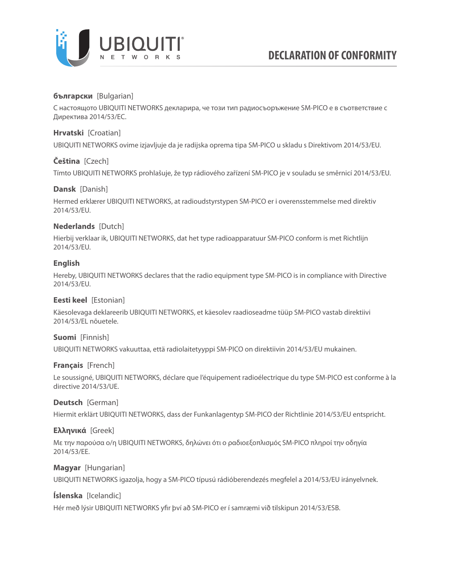

# **български** [Bulgarian]

С настоящото UBIQUITI NETWORKS декларира, че този тип радиосъоръжение SM-PICO е в съответствие с Директива 2014/53/ЕС.

## **Hrvatski** [Croatian]

UBIQUITI NETWORKS ovime izjavljuje da je radijska oprema tipa SM-PICO u skladu s Direktivom 2014/53/EU.

## **Čeština** [Czech]

Tímto UBIQUITI NETWORKS prohlašuje, že typ rádiového zařízení SM-PICO je v souladu se směrnicí 2014/53/EU.

### **Dansk** [Danish]

Hermed erklærer UBIQUITI NETWORKS, at radioudstyrstypen SM-PICO er i overensstemmelse med direktiv 2014/53/EU.

# **Nederlands** [Dutch]

Hierbij verklaar ik, UBIQUITI NETWORKS, dat het type radioapparatuur SM-PICO conform is met Richtlijn 2014/53/EU.

### **English**

Hereby, UBIQUITI NETWORKS declares that the radio equipment type SM-PICO is in compliance with Directive 2014/53/EU.

## **Eesti keel** [Estonian]

Käesolevaga deklareerib UBIQUITI NETWORKS, et käesolev raadioseadme tüüp SM-PICO vastab direktiivi 2014/53/EL nõuetele.

### **Suomi** [Finnish]

UBIQUITI NETWORKS vakuuttaa, että radiolaitetyyppi SM-PICO on direktiivin 2014/53/EU mukainen.

### **Français** [French]

Le soussigné, UBIQUITI NETWORKS, déclare que l'équipement radioélectrique du type SM-PICO est conforme à la directive 2014/53/UE.

### **Deutsch** [German]

Hiermit erklärt UBIQUITI NETWORKS, dass der Funkanlagentyp SM-PICO der Richtlinie 2014/53/EU entspricht.

## **Ελληνικά** [Greek]

Με την παρούσα ο/η UBIQUITI NETWORKS, δηλώνει ότι ο ραδιοεξοπλισμός SM-PICO πληροί την οδηγία 2014/53/ΕΕ.

### **Magyar** [Hungarian]

UBIQUITI NETWORKS igazolja, hogy a SM-PICO típusú rádióberendezés megfelel a 2014/53/EU irányelvnek.

### **Íslenska** [Icelandic]

Hér með lýsir UBIQUITI NETWORKS yfir því að SM-PICO er í samræmi við tilskipun 2014/53/ESB.